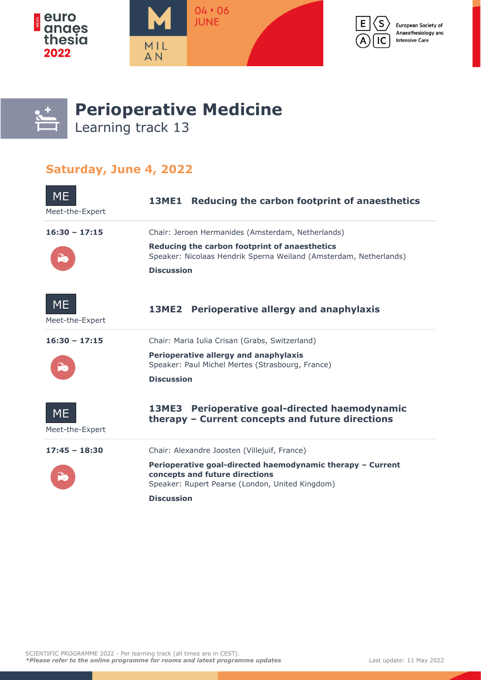







# **Perioperative Medicine**

Learning track 13

### **Saturday, June 4, 2022**

| <b>ME</b><br>Meet-the-Expert | <b>13ME1</b>                                                                                                       | Reducing the carbon footprint of anaesthetics                                                                                                   |  |
|------------------------------|--------------------------------------------------------------------------------------------------------------------|-------------------------------------------------------------------------------------------------------------------------------------------------|--|
| $16:30 - 17:15$              |                                                                                                                    | Chair: Jeroen Hermanides (Amsterdam, Netherlands)                                                                                               |  |
|                              | Reducing the carbon footprint of anaesthetics<br>Speaker: Nicolaas Hendrik Sperna Weiland (Amsterdam, Netherlands) |                                                                                                                                                 |  |
|                              | <b>Discussion</b>                                                                                                  |                                                                                                                                                 |  |
| <b>ME</b><br>Meet-the-Expert | <b>13ME2</b>                                                                                                       | Perioperative allergy and anaphylaxis                                                                                                           |  |
| $16:30 - 17:15$              |                                                                                                                    | Chair: Maria Iulia Crisan (Grabs, Switzerland)                                                                                                  |  |
|                              | Perioperative allergy and anaphylaxis<br>Speaker: Paul Michel Mertes (Strasbourg, France)                          |                                                                                                                                                 |  |
|                              | <b>Discussion</b>                                                                                                  |                                                                                                                                                 |  |
| <b>ME</b><br>Meet-the-Expert |                                                                                                                    | 13ME3 Perioperative goal-directed haemodynamic<br>therapy – Current concepts and future directions                                              |  |
| $17:45 - 18:30$              |                                                                                                                    | Chair: Alexandre Joosten (Villejuif, France)                                                                                                    |  |
|                              |                                                                                                                    | Perioperative goal-directed haemodynamic therapy - Current<br>concepts and future directions<br>Speaker: Rupert Pearse (London, United Kingdom) |  |
|                              | <b>Discussion</b>                                                                                                  |                                                                                                                                                 |  |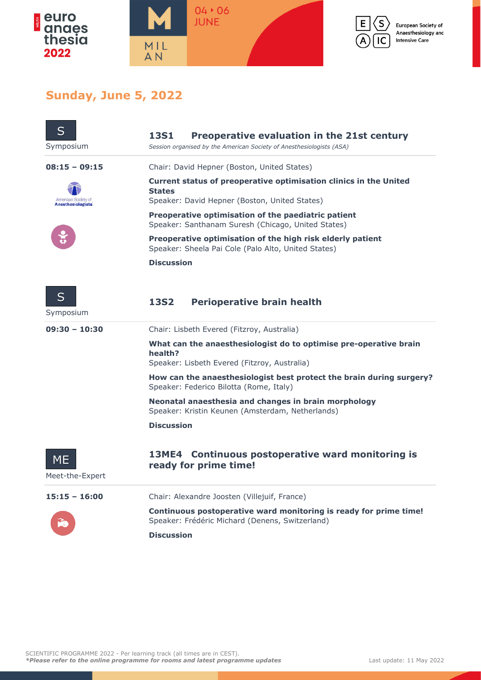



European Society of Anaesthesiology and **Intensive Care** 

## **Sunday, June 5, 2022**

and the state of the

| S<br>Symposium                           | Preoperative evaluation in the 21st century<br><b>13S1</b><br>Session organised by the American Society of Anesthesiologists (ASA)        |  |  |
|------------------------------------------|-------------------------------------------------------------------------------------------------------------------------------------------|--|--|
| $08:15 - 09:15$                          | Chair: David Hepner (Boston, United States)                                                                                               |  |  |
| American Society of<br>Anesthesiologists | Current status of preoperative optimisation clinics in the United<br><b>States</b><br>Speaker: David Hepner (Boston, United States)       |  |  |
|                                          | Preoperative optimisation of the paediatric patient<br>Speaker: Santhanam Suresh (Chicago, United States)                                 |  |  |
|                                          | Preoperative optimisation of the high risk elderly patient<br>Speaker: Sheela Pai Cole (Palo Alto, United States)                         |  |  |
|                                          | <b>Discussion</b>                                                                                                                         |  |  |
| S<br>Symposium                           | <b>Perioperative brain health</b><br><b>13S2</b>                                                                                          |  |  |
| $09:30 - 10:30$                          | Chair: Lisbeth Evered (Fitzroy, Australia)                                                                                                |  |  |
|                                          | What can the anaesthesiologist do to optimise pre-operative brain<br>health?<br>Speaker: Lisbeth Evered (Fitzroy, Australia)              |  |  |
|                                          | How can the anaesthesiologist best protect the brain during surgery?<br>Speaker: Federico Bilotta (Rome, Italy)                           |  |  |
|                                          | Neonatal anaesthesia and changes in brain morphology<br>Speaker: Kristin Keunen (Amsterdam, Netherlands)                                  |  |  |
|                                          | <b>Discussion</b>                                                                                                                         |  |  |
| ME<br>Meet-the-Expert                    | 13ME4 Continuous postoperative ward monitoring is<br>ready for prime time!                                                                |  |  |
| $15:15 - 16:00$                          | Chair: Alexandre Joosten (Villejuif, France)                                                                                              |  |  |
|                                          | Continuous postoperative ward monitoring is ready for prime time!<br>Speaker: Frédéric Michard (Denens, Switzerland)<br><b>Discussion</b> |  |  |
|                                          |                                                                                                                                           |  |  |